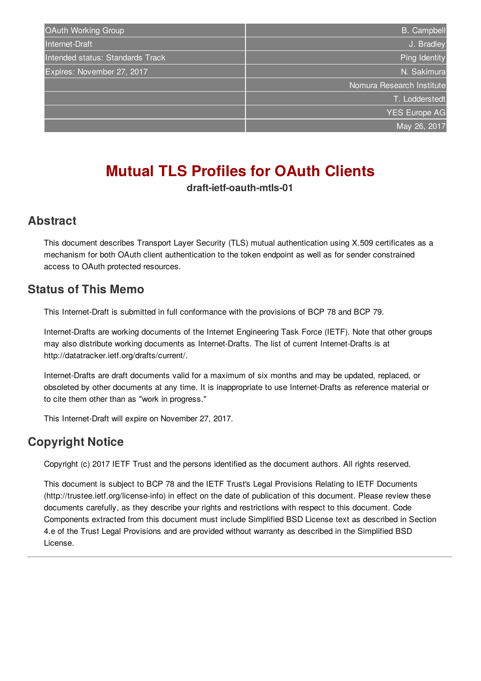| OAuth Working Group              | <b>B.</b> Campbell        |
|----------------------------------|---------------------------|
| Internet-Draft                   | J. Bradley                |
| Intended status: Standards Track | Ping Identity             |
| Expires: November 27, 2017       | N. Sakimura               |
|                                  | Nomura Research Institute |
|                                  | T. Lodderstedt            |
|                                  | <b>YES Europe AG</b>      |
|                                  | May 26, 2017              |
|                                  |                           |

# **Mutual TLS Profiles for OAuth Clients**

**draft-ietf-oauth-mtls-01**

#### <span id="page-0-0"></span>**[Abstract](#page-0-0)**

This document describes Transport Layer Security (TLS) mutual authentication using X.509 certificates as a mechanism for both OAuth client authentication to the token endpoint as well as for sender constrained access to OAuth protected resources.

#### <span id="page-0-1"></span>**[Status](#page-0-1) of This Memo**

This Internet-Draft is submitted in full conformance with the provisions of BCP 78 and BCP 79.

Internet-Drafts are working documents of the Internet Engineering Task Force (IETF). Note that other groups may also distribute working documents as Internet-Drafts. The list of current Internet-Drafts is at http://datatracker.ietf.org/drafts/current/.

Internet-Drafts are draft documents valid for a maximum of six months and may be updated, replaced, or obsoleted by other documents at any time. It is inappropriate to use Internet-Drafts as reference material or to cite them other than as "work in progress."

This Internet-Draft will expire on November 27, 2017.

# <span id="page-0-2"></span>**[Copyright](#page-0-2) Notice**

Copyright (c) 2017 IETF Trust and the persons identified as the document authors. All rights reserved.

This document is subject to BCP 78 and the IETF Trust's Legal Provisions Relating to IETF Documents (http://trustee.ietf.org/license-info) in effect on the date of publication of this document. Please review these documents carefully, as they describe your rights and restrictions with respect to this document. Code Components extracted from this document must include Simplified BSD License text as described in Section 4.e of the Trust Legal Provisions and are provided without warranty as described in the Simplified BSD License.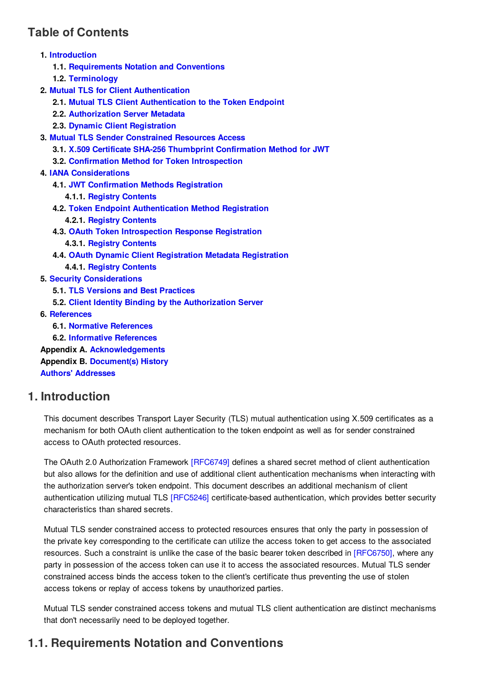# <span id="page-1-0"></span>**Table of [Contents](#page-1-0)**

- **1. [Introduction](#page-1-1)**
	- **1.1. [Requirements](#page-1-2) Notation and Conventions**
	- **1.2. [Terminology](#page-2-0)**
- **2. Mutual TLS for Client [Authentication](#page-2-1)**
	- **2.1. Mutual TLS Client [Authentication](#page-2-2) to the Token Endpoint**
	- **2.2. [Authorization](#page-2-3) Server Metadata**
	- **2.3. Dynamic Client [Registration](#page-2-4)**
- **3. Mutual TLS Sender [Constrained](#page-3-0) Resources Access**
	- **3.1. X.509 Certificate SHA-256 Thumbprint [Confirmation](#page-3-1) Method for JWT**
	- **3.2. Confirmation Method for Token [Introspection](#page-4-0)**
- **4. IANA [Considerations](#page-4-1)**
	- **4.1. JWT [Confirmation](#page-4-2) Methods Registration**
		- **4.1.1. Registry [Contents](#page-4-3)**
	- **4.2. Token Endpoint [Authentication](#page-5-0) Method Registration**
		- **4.2.1. Registry [Contents](#page-5-1)**
	- **4.3. OAuth Token [Introspection](#page-5-2) Response Registration**
		- **4.3.1. Registry [Contents](#page-5-3)**
	- **4.4. OAuth Dynamic Client [Registration](#page-5-4) Metadata Registration**
	- **4.4.1. Registry [Contents](#page-5-5)**
- **5. Security [Considerations](#page-5-6)**
	- **5.1. TLS Versions and Best [Practices](#page-5-7)**
	- **5.2. Client Identity Binding by the [Authorization](#page-6-0) Server**
- **6. [References](#page-6-1)**
	- **6.1. Normative [References](#page-6-2)**
	- **6.2. [Informative](#page-6-3) References**

**Appendix A. [Acknowledgements](#page-6-4) Appendix B. [Document\(s\)](#page-7-0) History Authors' [Addresses](#page-7-1)**

#### <span id="page-1-3"></span><span id="page-1-1"></span>**[1.](#page-1-1) [Introduction](#page-1-3)**

This document describes Transport Layer Security (TLS) mutual authentication using X.509 certificates as a mechanism for both OAuth client authentication to the token endpoint as well as for sender constrained access to OAuth protected resources.

The OAuth 2.0 Authorization Framework [\[RFC6749\]](#page-6-5) defines a shared secret method of client authentication but also allows for the definition and use of additional client authentication mechanisms when interacting with the authorization server's token endpoint. This document describes an additional mechanism of client authentication utilizing mutual TLS [\[RFC5246\]](#page-6-6) certificate-based authentication, which provides better security characteristics than shared secrets.

Mutual TLS sender constrained access to protected resources ensures that only the party in possession of the private key corresponding to the certificate can utilize the access token to get access to the associated resources. Such a constraint is unlike the case of the basic bearer token described in [\[RFC6750\]](#page-6-7), where any party in possession of the access token can use it to access the associated resources. Mutual TLS sender constrained access binds the access token to the client's certificate thus preventing the use of stolen access tokens or replay of access tokens by unauthorized parties.

Mutual TLS sender constrained access tokens and mutual TLS client authentication are distinct mechanisms that don't necessarily need to be deployed together.

# <span id="page-1-4"></span><span id="page-1-2"></span>**[1.1.](#page-1-2) [Requirements](#page-1-4) Notation and Conventions**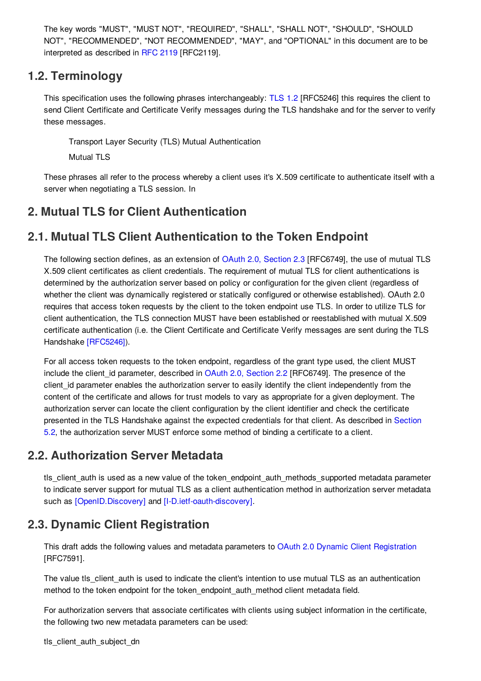The key words "MUST", "MUST NOT", "REQUIRED", "SHALL", "SHALL NOT", "SHOULD", "SHOULD NOT", "RECOMMENDED", "NOT RECOMMENDED", "MAY", and "OPTIONAL" in this document are to be interpreted as described in [RFC](#page-6-8) 2119 [RFC2119].

#### <span id="page-2-5"></span><span id="page-2-0"></span>**[1.2.](#page-2-0) [Terminology](#page-2-5)**

This specification uses the following phrases interchangeably: [TLS](#page-6-6) 1.2 [RFC5246] this requires the client to send Client Certificate and Certificate Verify messages during the TLS handshake and for the server to verify these messages.

Transport Layer Security (TLS) Mutual Authentication

Mutual TLS

These phrases all refer to the process whereby a client uses it's X.509 certificate to authenticate itself with a server when negotiating a TLS session. In

# <span id="page-2-6"></span><span id="page-2-1"></span>**[2.](#page-2-1) Mutual TLS for Client [Authentication](#page-2-6)**

# <span id="page-2-7"></span><span id="page-2-2"></span>**[2.1.](#page-2-2) Mutual TLS Client [Authentication](#page-2-7) to the Token Endpoint**

The following section defines, as an extension of OAuth 2.0, [Section](#page-6-5) 2.3 [RFC6749], the use of mutual TLS X.509 client certificates as client credentials. The requirement of mutual TLS for client authentications is determined by the authorization server based on policy or configuration for the given client (regardless of whether the client was dynamically registered or statically configured or otherwise established). OAuth 2.0 requires that access token requests by the client to the token endpoint use TLS. In order to utilize TLS for client authentication, the TLS connection MUST have been established or reestablished with mutual X.509 certificate authentication (i.e. the Client Certificate and Certificate Verify messages are sent during the TLS Handshake [\[RFC5246\]](#page-6-6)).

For all access token requests to the token endpoint, regardless of the grant type used, the client MUST include the client\_id parameter, described in OAuth 2.0, [Section](#page-6-5) 2.2 [RFC6749]. The presence of the client id parameter enables the authorization server to easily identify the client independently from the content of the certificate and allows for trust models to vary as appropriate for a given deployment. The authorization server can locate the client configuration by the client identifier and check the certificate presented in the TLS Handshake against the expected credentials for that client. As described in Section 5.2, the [authorization](#page-6-9) server MUST enforce some method of binding a certificate to a client.

#### <span id="page-2-8"></span><span id="page-2-3"></span>**[2.2.](#page-2-3) [Authorization](#page-2-8) Server Metadata**

tls\_client\_auth is used as a new value of the token\_endpoint\_auth\_methods\_supported metadata parameter to indicate server support for mutual TLS as a client authentication method in authorization server metadata such as [\[OpenID.Discovery\]](#page-6-10) and [\[I-D.ietf-oauth-discovery\]](#page-6-11).

# <span id="page-2-9"></span><span id="page-2-4"></span>**[2.3.](#page-2-4) Dynamic Client [Registration](#page-2-9)**

This draft adds the following values and metadata parameters to OAuth 2.0 Dynamic Client [Registration](#page-6-12) [RFC7591].

The value tls\_client\_auth is used to indicate the client's intention to use mutual TLS as an authentication method to the token endpoint for the token endpoint auth method client metadata field.

For authorization servers that associate certificates with clients using subject information in the certificate, the following two new metadata parameters can be used: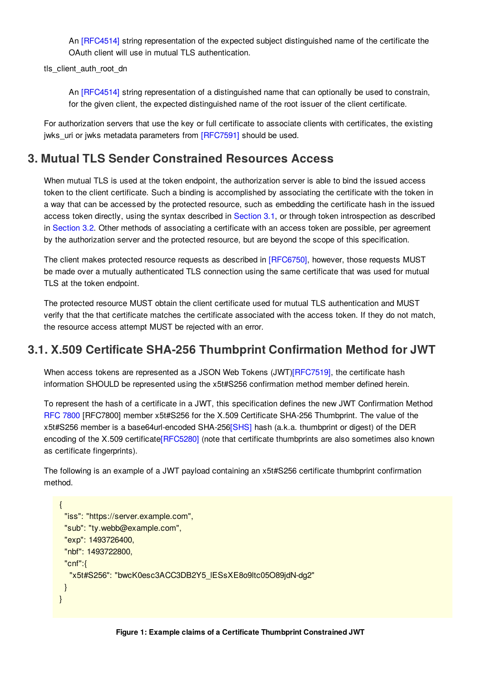An [\[RFC4514\]](#page-6-13) string representation of the expected subject distinguished name of the certificate the OAuth client will use in mutual TLS authentication.

tls\_client\_auth\_root\_dn

An [\[RFC4514\]](#page-6-13) string representation of a distinguished name that can optionally be used to constrain, for the given client, the expected distinguished name of the root issuer of the client certificate.

For authorization servers that use the key or full certificate to associate clients with certificates, the existing jwks uri or jwks metadata parameters from [\[RFC7591\]](#page-6-12) should be used.

#### <span id="page-3-2"></span><span id="page-3-0"></span>**[3.](#page-3-0) Mutual TLS Sender [Constrained](#page-3-2) Resources Access**

When mutual TLS is used at the token endpoint, the authorization server is able to bind the issued access token to the client certificate. Such a binding is accomplished by associating the certificate with the token in a way that can be accessed by the protected resource, such as embedding the certificate hash in the issued access token directly, using the syntax described in [Section](#page-3-3) 3.1, or through token introspection as described in [Section](#page-4-4) 3.2. Other methods of associating a certificate with an access token are possible, per agreement by the authorization server and the protected resource, but are beyond the scope of this specification.

The client makes protected resource requests as described in [\[RFC6750\]](#page-6-7), however, those requests MUST be made over a mutually authenticated TLS connection using the same certificate that was used for mutual TLS at the token endpoint.

The protected resource MUST obtain the client certificate used for mutual TLS authentication and MUST verify that the that certificate matches the certificate associated with the access token. If they do not match, the resource access attempt MUST be rejected with an error.

#### <span id="page-3-3"></span><span id="page-3-1"></span>**[3.1.](#page-3-1) X.509 Certificate SHA-256 Thumbprint [Confirmation](#page-3-3) Method for JWT**

When access tokens are represented as a JSON Web Tokens (JWT[\)\[RFC7519\]](#page-6-14), the certificate hash information SHOULD be represented using the x5t#S256 confirmation method member defined herein.

To represent the hash of a certificate in a JWT, this specification defines the new JWT Confirmation Method RFC [7800](#page-6-15) [RFC7800] member x5t#S256 for the X.509 Certificate SHA-256 Thumbprint. The value of the x5t#S256 member is a base64url-encoded SHA-256[\[SHS\]](#page-6-16) hash (a.k.a. thumbprint or digest) of the DER encoding of the X.509 certificate<sup>[RFC5280]</sup> (note that certificate thumbprints are also sometimes also known as certificate fingerprints).

The following is an example of a JWT payload containing an x5t#S256 certificate thumbprint confirmation method.

```
{
 "iss": "https://server.example.com",
 "sub": "ty.webb@example.com",
 "exp": 1493726400,
 "nbf": 1493722800,
 "cnf":{
  "x5t#S256": "bwcK0esc3ACC3DB2Y5_lESsXE8o9ltc05O89jdN-dg2"
 }
}
```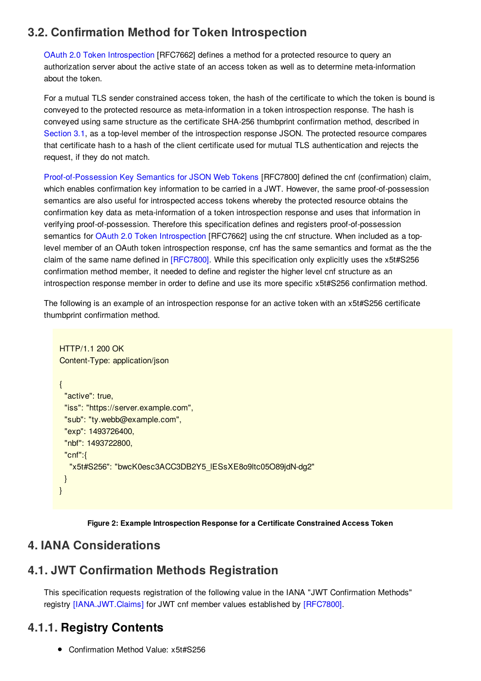### <span id="page-4-4"></span><span id="page-4-0"></span>**[3.2.](#page-4-0) Confirmation Method for Token [Introspection](#page-4-4)**

OAuth 2.0 Token [Introspection](#page-6-18) [RFC7662] defines a method for a protected resource to query an authorization server about the active state of an access token as well as to determine meta-information about the token.

For a mutual TLS sender constrained access token, the hash of the certificate to which the token is bound is conveyed to the protected resource as meta-information in a token introspection response. The hash is conveyed using same structure as the certificate SHA-256 thumbprint confirmation method, described in [Section](#page-3-3) 3.1, as a top-level member of the introspection response JSON. The protected resource compares that certificate hash to a hash of the client certificate used for mutual TLS authentication and rejects the request, if they do not match.

[Proof-of-Possession](#page-6-15) Key Semantics for JSON Web Tokens [RFC7800] defined the cnf (confirmation) claim, which enables confirmation key information to be carried in a JWT. However, the same proof-of-possession semantics are also useful for introspected access tokens whereby the protected resource obtains the confirmation key data as meta-information of a token introspection response and uses that information in verifying proof-of-possession. Therefore this specification defines and registers proof-of-possession semantics for OAuth 2.0 Token [Introspection](#page-6-18) [RFC7662] using the cnf structure. When included as a toplevel member of an OAuth token introspection response, cnf has the same semantics and format as the the claim of the same name defined in [\[RFC7800\]](#page-6-15). While this specification only explicitly uses the x5t#S256 confirmation method member, it needed to define and register the higher level cnf structure as an introspection response member in order to define and use its more specific x5t#S256 confirmation method.

The following is an example of an introspection response for an active token with an x5t#S256 certificate thumbprint confirmation method.

```
HTTP/1.1 200 OK
Content-Type: application/json
{
 "active": true,
 "iss": "https://server.example.com",
 "sub": "ty.webb@example.com",
 "exp": 1493726400,
 "nbf": 1493722800,
 "cnf":{
  "x5t#S256": "bwcK0esc3ACC3DB2Y5_lESsXE8o9ltc05O89jdN-dg2"
 }
}
```
**Figure 2: Example Introspection Response for a Certificate Constrained Access Token**

### <span id="page-4-5"></span><span id="page-4-1"></span>**[4.](#page-4-1) IANA [Considerations](#page-4-5)**

# <span id="page-4-6"></span><span id="page-4-2"></span>**[4.1.](#page-4-2) JWT [Confirmation](#page-4-6) Methods Registration**

This specification requests registration of the following value in the IANA "JWT Confirmation Methods" registry [\[IANA.JWT.Claims\]](#page-6-19) for JWT cnf member values established by [\[RFC7800\]](#page-6-15).

# <span id="page-4-3"></span>**[4.1.1.](#page-4-3) Registry Contents**

● Confirmation Method Value: x5t#S256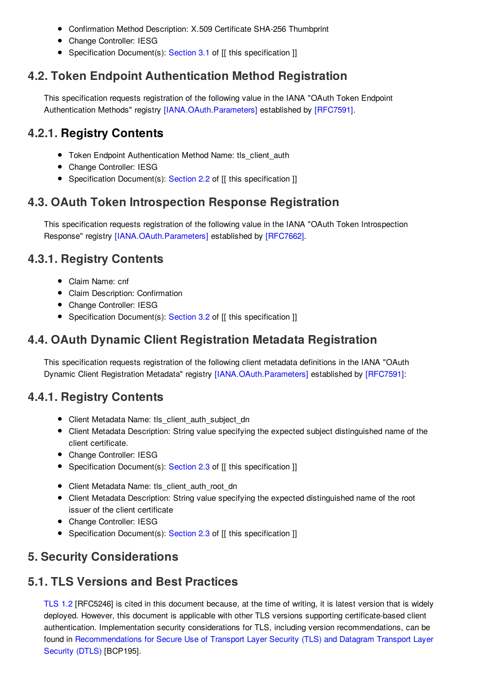- Confirmation Method Description: X.509 Certificate SHA-256 Thumbprint
- Change Controller: IESG
- <span id="page-5-8"></span>• Specification Document(s): [Section](#page-3-3) 3.1 of [[ this specification ]]

#### <span id="page-5-0"></span>**[4.2.](#page-5-0) Token Endpoint [Authentication](#page-5-8) Method Registration**

This specification requests registration of the following value in the IANA "OAuth Token Endpoint Authentication Methods" registry [\[IANA.OAuth.Parameters\]](#page-6-20) established by [\[RFC7591\]](#page-6-12).

#### <span id="page-5-1"></span>**[4.2.1.](#page-5-1) Registry Contents**

- Token Endpoint Authentication Method Name: tls\_client\_auth
- Change Controller: IESG
- <span id="page-5-9"></span>• Specification Document(s): [Section](#page-2-8) 2.2 of [[ this specification ]]

#### <span id="page-5-2"></span>**[4.3.](#page-5-2) OAuth Token [Introspection](#page-5-9) Response Registration**

This specification requests registration of the following value in the IANA "OAuth Token Introspection Response" registry [\[IANA.OAuth.Parameters\]](#page-6-20) established by [\[RFC7662\]](#page-6-18).

#### <span id="page-5-3"></span>**[4.3.1.](#page-5-3) Registry [Contents](#page-5-10)**

- <span id="page-5-10"></span>Claim Name: cnf
- Claim Description: Confirmation
- Change Controller: IESG
- <span id="page-5-11"></span>• Specification Document(s): [Section](#page-4-4) 3.2 of [[ this specification ]]

## <span id="page-5-4"></span>**[4.4.](#page-5-4) OAuth Dynamic Client [Registration](#page-5-11) Metadata Registration**

This specification requests registration of the following client metadata definitions in the IANA "OAuth Dynamic Client Registration Metadata" registry [\[IANA.OAuth.Parameters\]](#page-6-20) established by [\[RFC7591\]](#page-6-12):

#### <span id="page-5-5"></span>**[4.4.1.](#page-5-5) Registry [Contents](#page-5-12)**

- <span id="page-5-12"></span>• Client Metadata Name: tls\_client\_auth\_subject\_dn
- Client Metadata Description: String value specifying the expected subject distinguished name of the client certificate.
- Change Controller: IESG
- Specification Document(s): [Section](#page-2-9) 2.3 of [[ this specification ]]
- Client Metadata Name: tls\_client\_auth\_root\_dn
- Client Metadata Description: String value specifying the expected distinguished name of the root issuer of the client certificate
- Change Controller: IESG
- Specification Document(s): [Section](#page-2-9) 2.3 of [[ this specification ]]

# <span id="page-5-13"></span><span id="page-5-6"></span>**[5.](#page-5-6) Security [Considerations](#page-5-13)**

#### <span id="page-5-14"></span><span id="page-5-7"></span>**[5.1.](#page-5-7) TLS Versions and Best [Practices](#page-5-14)**

[TLS](#page-6-6) 1.2 [RFC5246] is cited in this document because, at the time of writing, it is latest version that is widely deployed. However, this document is applicable with other TLS versions supporting certificate-based client authentication. Implementation security considerations for TLS, including version recommendations, can be found in [Recommendations](#page-6-21) for Secure Use of Transport Layer Security (TLS) and Datagram Transport Layer Security (DTLS) [BCP195].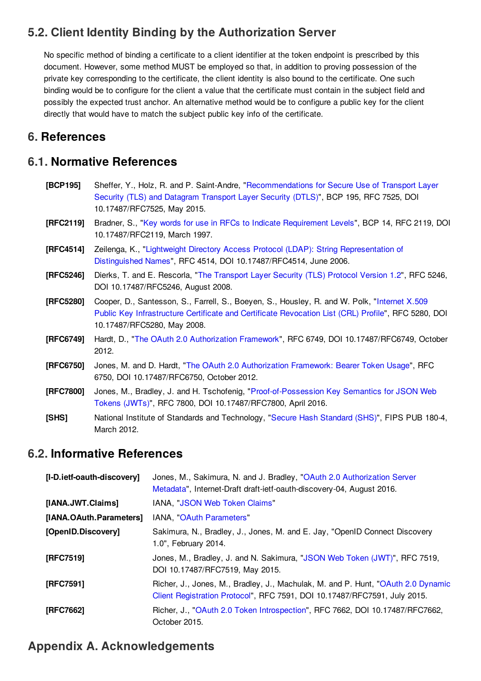# <span id="page-6-9"></span><span id="page-6-0"></span>**[5.2.](#page-6-0) Client Identity Binding by the [Authorization](#page-6-9) Server**

No specific method of binding a certificate to a client identifier at the token endpoint is prescribed by this document. However, some method MUST be employed so that, in addition to proving possession of the private key corresponding to the certificate, the client identity is also bound to the certificate. One such binding would be to configure for the client a value that the certificate must contain in the subject field and possibly the expected trust anchor. An alternative method would be to configure a public key for the client directly that would have to match the subject public key info of the certificate.

#### <span id="page-6-1"></span>**[6.](#page-6-1) References**

#### <span id="page-6-2"></span>**[6.1.](#page-6-2) Normative References**

<span id="page-6-21"></span><span id="page-6-17"></span><span id="page-6-13"></span><span id="page-6-8"></span><span id="page-6-6"></span>

| [BCP195]  | Sheffer, Y., Holz, R. and P. Saint-Andre, "Recommendations for Secure Use of Transport Layer<br>Security (TLS) and Datagram Transport Layer Security (DTLS)", BCP 195, RFC 7525, DOI<br>10.17487/RFC7525, May 2015.                |
|-----------|------------------------------------------------------------------------------------------------------------------------------------------------------------------------------------------------------------------------------------|
| [RFC2119] | Bradner, S., "Key words for use in RFCs to Indicate Requirement Levels", BCP 14, RFC 2119, DOI<br>10.17487/RFC2119, March 1997.                                                                                                    |
| [RFC4514] | Zeilenga, K., "Lightweight Directory Access Protocol (LDAP): String Representation of<br>Distinguished Names", RFC 4514, DOI 10.17487/RFC4514, June 2006.                                                                          |
| [RFC5246] | Dierks, T. and E. Rescorla, "The Transport Layer Security (TLS) Protocol Version 1.2", RFC 5246,<br>DOI 10.17487/RFC5246, August 2008.                                                                                             |
| [RFC5280] | Cooper, D., Santesson, S., Farrell, S., Boeyen, S., Housley, R. and W. Polk, "Internet X.509<br>Public Key Infrastructure Certificate and Certificate Revocation List (CRL) Profile", RFC 5280, DOI<br>10.17487/RFC5280, May 2008. |
| [RFC6749] | Hardt, D., "The OAuth 2.0 Authorization Framework", RFC 6749, DOI 10.17487/RFC6749, October<br>2012.                                                                                                                               |
| [RFC6750] | Jones, M. and D. Hardt, "The OAuth 2.0 Authorization Framework: Bearer Token Usage", RFC<br>6750, DOI 10.17487/RFC6750, October 2012.                                                                                              |
| [RFC7800] | Jones, M., Bradley, J. and H. Tschofenig, "Proof-of-Possession Key Semantics for JSON Web<br>Tokens (JWTs)", RFC 7800, DOI 10.17487/RFC7800, April 2016.                                                                           |
| [SHS]     | National Institute of Standards and Technology, "Secure Hash Standard (SHS)", FIPS PUB 180-4,<br>March 2012.                                                                                                                       |

#### <span id="page-6-16"></span><span id="page-6-15"></span><span id="page-6-7"></span><span id="page-6-5"></span><span id="page-6-3"></span>**[6.2.](#page-6-3) Informative References**

<span id="page-6-20"></span><span id="page-6-19"></span><span id="page-6-14"></span><span id="page-6-11"></span><span id="page-6-10"></span>

| [I-D.ietf-oauth-discovery] | Jones, M., Sakimura, N. and J. Bradley, "OAuth 2.0 Authorization Server<br>Metadata", Internet-Draft draft-ietf-oauth-discovery-04, August 2016.              |
|----------------------------|---------------------------------------------------------------------------------------------------------------------------------------------------------------|
| [IANA.JWT.Claims]          | IANA, "JSON Web Token Claims"                                                                                                                                 |
| [IANA.OAuth.Parameters]    | IANA, "OAuth Parameters"                                                                                                                                      |
| [OpenID.Discovery]         | Sakimura, N., Bradley, J., Jones, M. and E. Jay, "OpenID Connect Discovery<br>1.0", February 2014.                                                            |
| [RFC7519]                  | Jones, M., Bradley, J. and N. Sakimura, "JSON Web Token (JWT)", RFC 7519,<br>DOI 10.17487/RFC7519, May 2015.                                                  |
| [RFC7591]                  | Richer, J., Jones, M., Bradley, J., Machulak, M. and P. Hunt, "OAuth 2.0 Dynamic<br>Client Registration Protocol", RFC 7591, DOI 10.17487/RFC7591, July 2015. |
| [RFC7662]                  | Richer, J., "OAuth 2.0 Token Introspection", RFC 7662, DOI 10.17487/RFC7662,<br>October 2015.                                                                 |

#### <span id="page-6-22"></span><span id="page-6-18"></span><span id="page-6-12"></span><span id="page-6-4"></span>**[Appendix](#page-6-4) A. [Acknowledgements](#page-6-22)**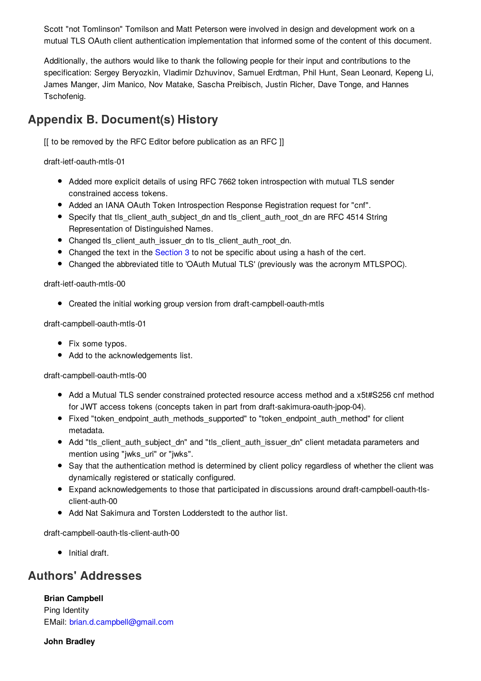Scott "not Tomlinson" Tomilson and Matt Peterson were involved in design and development work on a mutual TLS OAuth client authentication implementation that informed some of the content of this document.

Additionally, the authors would like to thank the following people for their input and contributions to the specification: Sergey Beryozkin, Vladimir Dzhuvinov, Samuel Erdtman, Phil Hunt, Sean Leonard, Kepeng Li, James Manger, Jim Manico, Nov Matake, Sascha Preibisch, Justin Richer, Dave Tonge, and Hannes Tschofenig.

# <span id="page-7-0"></span>**[Appendix](#page-7-0) B. [Document\(s\)](#page-7-2) History**

<span id="page-7-2"></span>[[ to be removed by the RFC Editor before publication as an RFC ]]

draft-ietf-oauth-mtls-01

- Added more explicit details of using RFC 7662 token introspection with mutual TLS sender constrained access tokens.
- Added an IANA OAuth Token Introspection Response Registration request for "cnf".
- Specify that tls\_client\_auth\_subject\_dn and tls\_client\_auth\_root\_dn are RFC 4514 String Representation of Distinguished Names.
- Changed tls\_client\_auth\_issuer\_dn to tls\_client\_auth\_root\_dn.
- Changed the text in the [Section](#page-3-2) 3 to not be specific about using a hash of the cert.
- Changed the abbreviated title to 'OAuth Mutual TLS' (previously was the acronym MTLSPOC).

draft-ietf-oauth-mtls-00

Created the initial working group version from draft-campbell-oauth-mtls

draft-campbell-oauth-mtls-01

- Fix some typos.
- Add to the acknowledgements list.

draft-campbell-oauth-mtls-00

- Add a Mutual TLS sender constrained protected resource access method and a x5t#S256 cnf method for JWT access tokens (concepts taken in part from draft-sakimura-oauth-jpop-04).
- Fixed "token endpoint auth methods supported" to "token endpoint auth method" for client metadata.
- Add "tls\_client\_auth\_subject\_dn" and "tls\_client\_auth\_issuer\_dn" client metadata parameters and mention using "jwks\_uri" or "jwks".
- Say that the authentication method is determined by client policy regardless of whether the client was dynamically registered or statically configured.
- Expand acknowledgements to those that participated in discussions around draft-campbell-oauth-tlsclient-auth-00
- Add Nat Sakimura and Torsten Lodderstedt to the author list.

draft-campbell-oauth-tls-client-auth-00

 $\bullet$  Initial draft.

#### <span id="page-7-1"></span>**Authors' [Addresses](#page-7-1)**

**Brian Campbell**

Ping Identity EMail: [brian.d.campbell@gmail.com](mailto:brian.d.campbell@gmail.com)

**John Bradley**